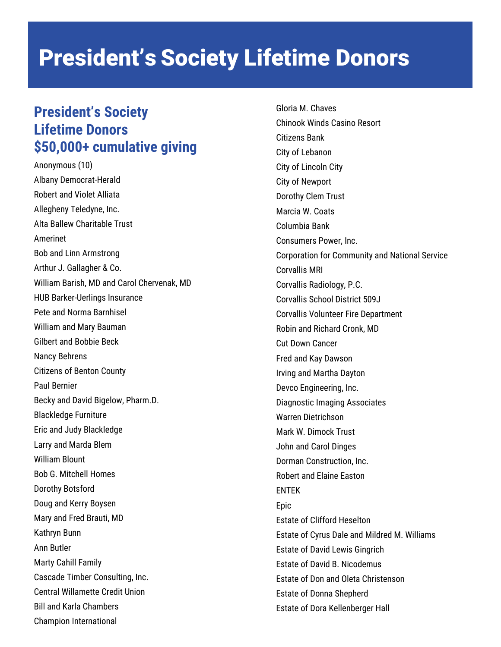#### **President's Society Lifetime Donors \$50,000+ cumulative giving**

Anonymous (10) Albany Democrat-Herald Robert and Violet Alliata Allegheny Teledyne, Inc. Alta Ballew Charitable Trust Amerinet Bob and Linn Armstrong Arthur J. Gallagher & Co. William Barish, MD and Carol Chervenak, MD HUB Barker-Uerlings Insurance Pete and Norma Barnhisel William and Mary Bauman Gilbert and Bobbie Beck Nancy Behrens Citizens of Benton County Paul Bernier Becky and David Bigelow, Pharm.D. Blackledge Furniture Eric and Judy Blackledge Larry and Marda Blem William Blount Bob G. Mitchell Homes Dorothy Botsford Doug and Kerry Boysen Mary and Fred Brauti, MD Kathryn Bunn Ann Butler Marty Cahill Family Cascade Timber Consulting, Inc. Central Willamette Credit Union Bill and Karla Chambers Champion International

Gloria M. Chaves Chinook Winds Casino Resort Citizens Bank City of Lebanon City of Lincoln City City of Newport Dorothy Clem Trust Marcia W. Coats Columbia Bank Consumers Power, Inc. Corporation for Community and National Service Corvallis MRI Corvallis Radiology, P.C. Corvallis School District 509J Corvallis Volunteer Fire Department Robin and Richard Cronk, MD Cut Down Cancer Fred and Kay Dawson Irving and Martha Dayton Devco Engineering, Inc. Diagnostic Imaging Associates Warren Dietrichson Mark W. Dimock Trust John and Carol Dinges Dorman Construction, Inc. Robert and Elaine Easton ENTEK Epic Estate of Clifford Heselton Estate of Cyrus Dale and Mildred M. Williams Estate of David Lewis Gingrich Estate of David B. Nicodemus Estate of Don and Oleta Christenson Estate of Donna Shepherd Estate of Dora Kellenberger Hall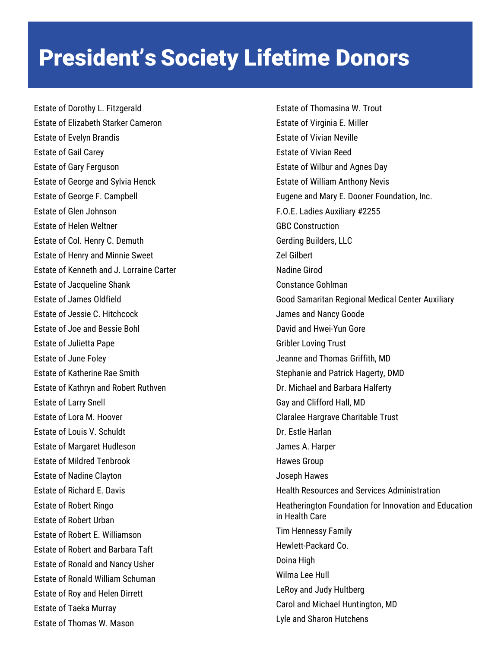Estate of Dorothy L. Fitzgerald Estate of Elizabeth Starker Cameron Estate of Evelyn Brandis Estate of Gail Carey Estate of Gary Ferguson Estate of George and Sylvia Henck Estate of George F. Campbell Estate of Glen Johnson Estate of Helen Weltner Estate of Col. Henry C. Demuth Estate of Henry and Minnie Sweet Estate of Kenneth and J. Lorraine Carter Estate of Jacqueline Shank Estate of James Oldfield Estate of Jessie C. Hitchcock Estate of Joe and Bessie Bohl Estate of Julietta Pape Estate of June Foley Estate of Katherine Rae Smith Estate of Kathryn and Robert Ruthven Estate of Larry Snell Estate of Lora M. Hoover Estate of Louis V. Schuldt Estate of Margaret Hudleson Estate of Mildred Tenbrook Estate of Nadine Clayton Estate of Richard E. Davis Estate of Robert Ringo Estate of Robert Urban Estate of Robert E. Williamson Estate of Robert and Barbara Taft Estate of Ronald and Nancy Usher Estate of Ronald William Schuman Estate of Roy and Helen Dirrett Estate of Taeka Murray Estate of Thomas W. Mason

Estate of Thomasina W. Trout Estate of Virginia E. Miller Estate of Vivian Neville Estate of Vivian Reed Estate of Wilbur and Agnes Day Estate of William Anthony Nevis Eugene and Mary E. Dooner Foundation, Inc. F.O.E. Ladies Auxiliary #2255 GBC Construction Gerding Builders, LLC Zel Gilbert Nadine Girod Constance Gohlman Good Samaritan Regional Medical Center Auxiliary James and Nancy Goode David and Hwei-Yun Gore Gribler Loving Trust Jeanne and Thomas Griffith, MD Stephanie and Patrick Hagerty, DMD Dr. Michael and Barbara Halferty Gay and Clifford Hall, MD Claralee Hargrave Charitable Trust Dr. Estle Harlan James A. Harper Hawes Group Joseph Hawes Health Resources and Services Administration Heatherington Foundation for Innovation and Education in Health Care Tim Hennessy Family Hewlett-Packard Co. Doina High Wilma Lee Hull LeRoy and Judy Hultberg Carol and Michael Huntington, MD Lyle and Sharon Hutchens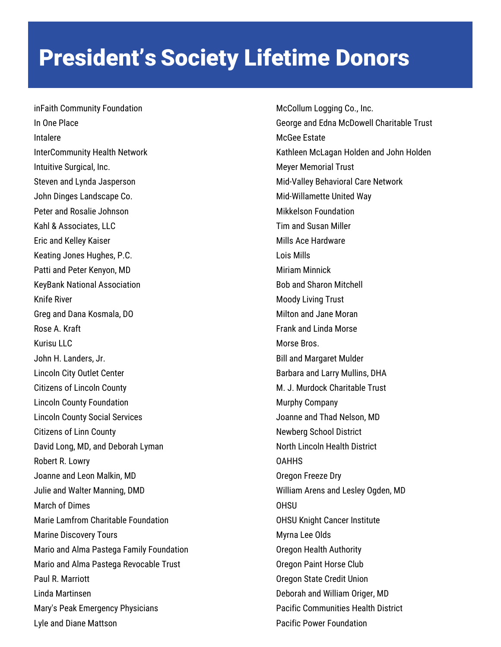inFaith Community Foundation In One Place Intalere InterCommunity Health Network Intuitive Surgical, Inc. Steven and Lynda Jasperson John Dinges Landscape Co. Peter and Rosalie Johnson Kahl & Associates, LLC Eric and Kelley Kaiser Keating Jones Hughes, P.C. Patti and Peter Kenyon, MD KeyBank National Association Knife River Greg and Dana Kosmala, DO Rose A. Kraft Kurisu LLC John H. Landers, Jr. Lincoln City Outlet Center Citizens of Lincoln County Lincoln County Foundation Lincoln County Social Services Citizens of Linn County David Long, MD, and Deborah Lyman Robert R. Lowry Joanne and Leon Malkin, MD Julie and Walter Manning, DMD March of Dimes Marie Lamfrom Charitable Foundation Marine Discovery Tours Mario and Alma Pastega Family Foundation Mario and Alma Pastega Revocable Trust Paul R. Marriott Linda Martinsen Mary's Peak Emergency Physicians Lyle and Diane Mattson

McCollum Logging Co., Inc. George and Edna McDowell Charitable Trust McGee Estate Kathleen McLagan Holden and John Holden Meyer Memorial Trust Mid-Valley Behavioral Care Network Mid-Willamette United Way Mikkelson Foundation Tim and Susan Miller Mills Ace Hardware Lois Mills Miriam Minnick Bob and Sharon Mitchell Moody Living Trust Milton and Jane Moran Frank and Linda Morse Morse Bros. Bill and Margaret Mulder Barbara and Larry Mullins, DHA M. J. Murdock Charitable Trust Murphy Company Joanne and Thad Nelson, MD Newberg School District North Lincoln Health District **OAHHS** Oregon Freeze Dry William Arens and Lesley Ogden, MD **OHSU** OHSU Knight Cancer Institute Myrna Lee Olds Oregon Health Authority Oregon Paint Horse Club Oregon State Credit Union Deborah and William Origer, MD Pacific Communities Health District Pacific Power Foundation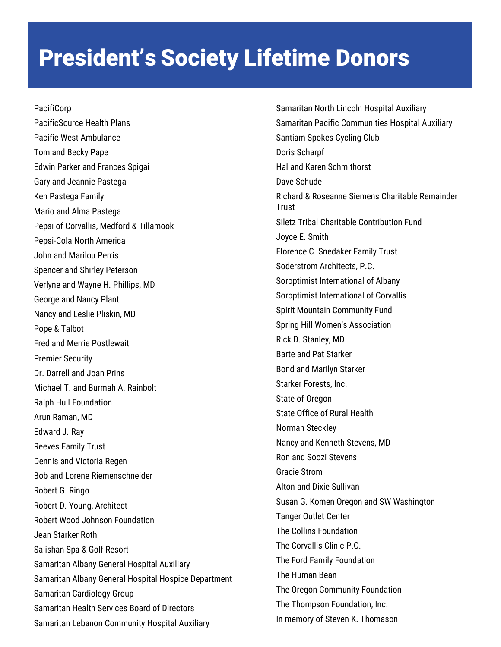PacifiCorp PacificSource Health Plans Pacific West Ambulance Tom and Becky Pape Edwin Parker and Frances Spigai Gary and Jeannie Pastega Ken Pastega Family Mario and Alma Pastega Pepsi of Corvallis, Medford & Tillamook Pepsi-Cola North America John and Marilou Perris Spencer and Shirley Peterson Verlyne and Wayne H. Phillips, MD George and Nancy Plant Nancy and Leslie Pliskin, MD Pope & Talbot Fred and Merrie Postlewait Premier Security Dr. Darrell and Joan Prins Michael T. and Burmah A. Rainbolt Ralph Hull Foundation Arun Raman, MD Edward J. Ray Reeves Family Trust Dennis and Victoria Regen Bob and Lorene Riemenschneider Robert G. Ringo Robert D. Young, Architect Robert Wood Johnson Foundation Jean Starker Roth Salishan Spa & Golf Resort Samaritan Albany General Hospital Auxiliary Samaritan Albany General Hospital Hospice Department Samaritan Cardiology Group Samaritan Health Services Board of Directors Samaritan Lebanon Community Hospital Auxiliary

Samaritan North Lincoln Hospital Auxiliary Samaritan Pacific Communities Hospital Auxiliary Santiam Spokes Cycling Club Doris Scharpf Hal and Karen Schmithorst Dave Schudel Richard & Roseanne Siemens Charitable Remainder **Trust** Siletz Tribal Charitable Contribution Fund Joyce E. Smith Florence C. Snedaker Family Trust Soderstrom Architects, P.C. Soroptimist International of Albany Soroptimist International of Corvallis Spirit Mountain Community Fund Spring Hill Women's Association Rick D. Stanley, MD Barte and Pat Starker Bond and Marilyn Starker Starker Forests, Inc. State of Oregon State Office of Rural Health Norman Steckley Nancy and Kenneth Stevens, MD Ron and Soozi Stevens Gracie Strom Alton and Dixie Sullivan Susan G. Komen Oregon and SW Washington Tanger Outlet Center The Collins Foundation The Corvallis Clinic P.C. The Ford Family Foundation The Human Bean The Oregon Community Foundation The Thompson Foundation, Inc. In memory of Steven K. Thomason